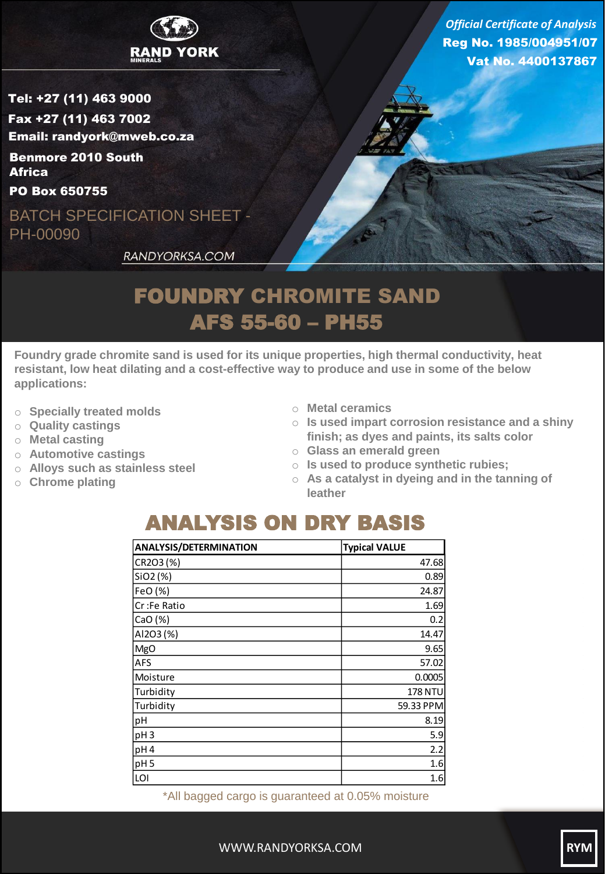

Tel: +27 (11) 463 9000 Fax +27 (11) 463 7002 Email: randyork@mweb.co.za

Benmore 2010 South **Africa** 

PO Box 650755

BATCH SPECIFICATION SHEET - PH-00090

Reg No. 1985/004951/07 Vat No. 4400137867 *Official Certificate of Analysis*

RANDYORKSA.COM

## FOUNDRY CHROMITE SAND AFS 55-60 – PH55

**Foundry grade chromite sand is used for its unique properties, high thermal conductivity, heat resistant, low heat dilating and a cost-effective way to produce and use in some of the below applications:**

- o **Specially treated molds**
- o **Quality castings**
- o **Metal casting**
- o **Automotive castings**
- o **Alloys such as stainless steel**
- o **Chrome plating**
- o **Metal ceramics**
- o **Is used impart corrosion resistance and a shiny finish; as dyes and paints, its salts color**
- o **Glass an emerald green**
- o **Is used to produce synthetic rubies;**
- o **As a catalyst in dyeing and in the tanning of leather**

## ANALYSIS ON DRY BASIS

| <b>ANALYSIS/DETERMINATION</b> | <b>Typical VALUE</b> |
|-------------------------------|----------------------|
| CR2O3(%)                      | 47.68                |
| SiO2 (%)                      | 0.89                 |
| FeO (%)                       | 24.87                |
| Cr:Fe Ratio                   | 1.69                 |
| CaO (%)                       | 0.2                  |
| AI2O3 (%)                     | 14.47                |
| MgO                           | 9.65                 |
| <b>AFS</b>                    | 57.02                |
| Moisture                      | 0.0005               |
| Turbidity                     | <b>178 NTU</b>       |
| Turbidity                     | 59.33 PPM            |
| pH                            | 8.19                 |
| pH <sub>3</sub>               | 5.9                  |
| pH <sub>4</sub>               | 2.2                  |
| pH <sub>5</sub>               | 1.6                  |
| LOI                           | 1.6                  |

\*All bagged cargo is guaranteed at 0.05% moisture